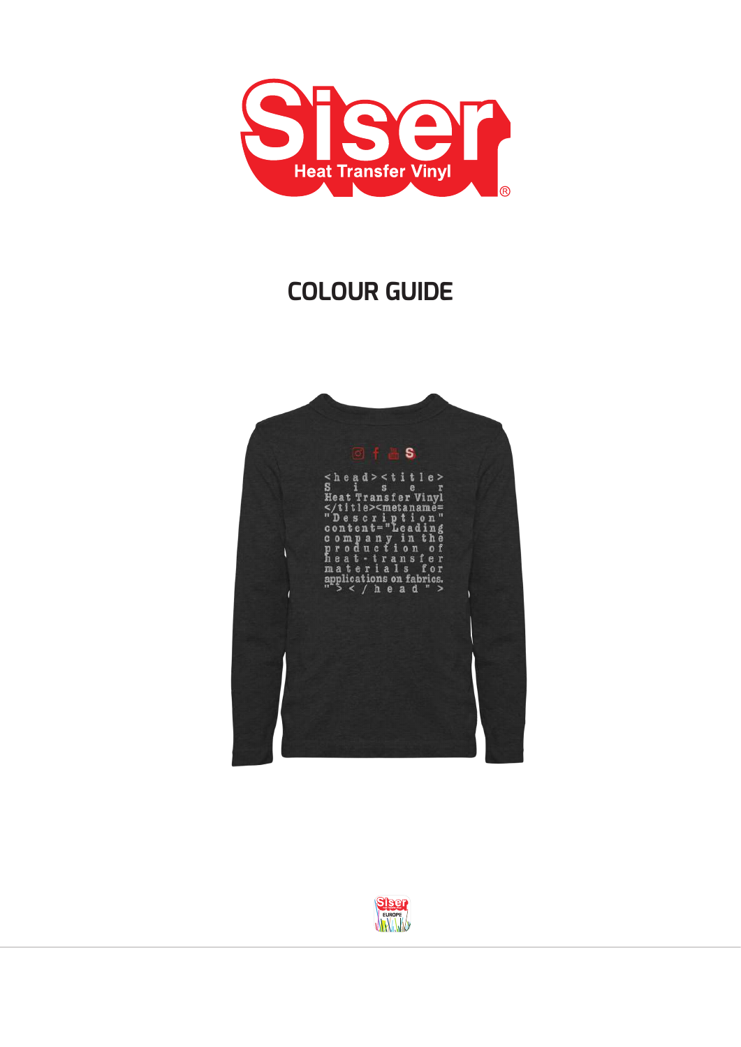

## **COLOUR GUIDE**



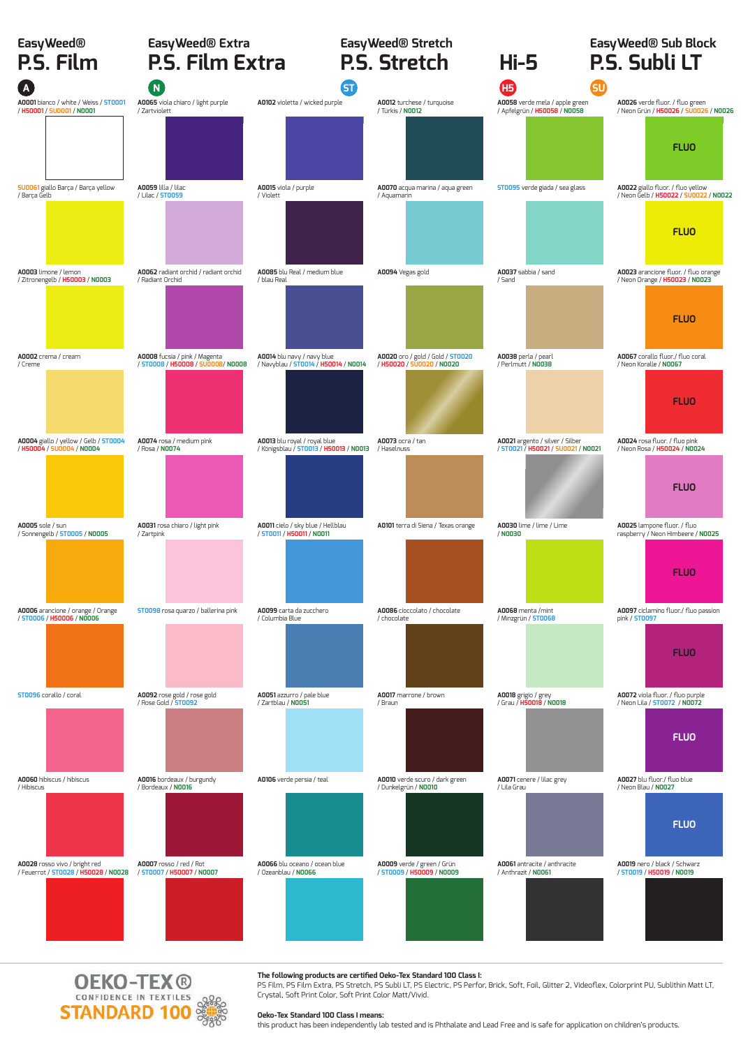| <sub>Easy</sub> weed®<br><b>P.S. Film</b>                                    | EasyWeed® Extra<br><b>P.S. Film Extra</b>                          |                                                                        | EasyWeed® Stretch<br>P.S. Stretch                             | <b>Hi-5</b>                                                           | EasyWeed® Sub Block<br>P.S. Subli LT                                                      |  |  |
|------------------------------------------------------------------------------|--------------------------------------------------------------------|------------------------------------------------------------------------|---------------------------------------------------------------|-----------------------------------------------------------------------|-------------------------------------------------------------------------------------------|--|--|
| $\mathbf{A}$                                                                 | $\overline{\mathsf{N}}$                                            | GD                                                                     |                                                               | Œ<br>௵                                                                |                                                                                           |  |  |
| A0001 bianco / white / Weiss / ST0001<br>/ H50001 / SU0001 / N0001           | A0065 viola chiaro / light purple<br>/ Zartviolett                 | A0102 violetta / wicked purple                                         | A0012 turchese / turquoise<br>/ Türkis / N0012                | A0058 verde mela / apple green<br>/ Apfelgrün / H50058 / N0058        | A0026 verde fluor. / fluo green<br>/ Neon Grün / H50026 / SU0026 / N0026<br><b>FLUO</b>   |  |  |
| <b>SU0061</b> giallo Barça / Barça yellow<br>/ Barça Gelb                    | <b>A0059</b> lilla / lilac<br>/ Lilac / <b>ST0059</b>              | A0015 viola / purple<br>/ Violett                                      | A0070 acqua marina / aqua green<br>/ Aquamarin                | <b>ST0095</b> verde giada / sea glass                                 | A0022 giallo fluor. / fluo yellow<br>/ Neon Gelb / H50022 / SU0022 / N0022<br><b>FLUO</b> |  |  |
| A0003 limone / lemon<br>/ Zitronengelb / H50003 / N0003                      | A0062 radiant orchid / radiant orchid<br>/ Radiant Orchid          | A0085 blu Real / medium blue<br>/ blau Real                            | A0094 Vegas gold                                              | A0037 sabbia / sand<br>/ Sand                                         | A0023 arancione fluor. / fluo orange<br>/ Neon Orange / H50023 / N0023<br><b>FLUO</b>     |  |  |
| A0002 crema / cream<br>/ Creme                                               | A0008 fucsia / pink / Magenta<br>/ ST0008 / H50008 / SV0008/ N0008 | A0014 blu navy / navy blue<br>/ Navyblau / 5T0014 / H50014 / N0014     | A0020 oro / gold / Gold / 5T0020<br>/ H50020 / SU0020 / N0020 | A0038 perla / pearl<br>/ Perlmutt / N0038                             | A0067 corallo fluor./ fluo coral<br>/ Neon Koralle / NOO67<br><b>FLUO</b>                 |  |  |
| A0004 giallo / yellow / Gelb / 5T0004<br>/ H50004 / SU0004 / N0004           | A0074 rosa / medium pink<br>/ Rosa / N0074                         | A0013 blu royal / royal blue<br>/ Königsblau / 5T0013 / H50013 / N0013 | A0073 ocra / tan<br>/ Haselnuss                               | A0021 argento / silver / Silber<br>/ ST0021 / H50021 / SU0021 / N0021 | A0024 rosa fluor. / fluo pink<br>/ Neon Rosa / H50024 / N0024<br><b>FLUO</b>              |  |  |
| A0005 sole / sun<br>/ Sonnengelb / <b>ST0005 / N0005</b>                     | A0031 rosa chiaro / light pink<br>/ Zartpink                       | A0011 cielo / sky blue / Hellblau<br>/ ST0011 / H50011 / N0011         | A0101 terra di Siena / Texas orange                           | A0030 lime / lime / Lime<br>/ NO030                                   | A0025 lampone fluor. / fluo<br>raspberry / Neon Himbeere / N0025<br><b>FLUO</b>           |  |  |
| A0006 arancione / orange / Orange<br>/ ST0006 / H50006 / N0006               | <b>ST0098</b> rosa quarzo / ballerina pink                         | A0099 carta da zucchero<br>/ Columbia Blue                             | A0086 cioccolato / chocolate<br>/ chocolate                   | A0068 menta /mint<br>/ Minzgrün / ST0068                              | A0097 ciclamino fluor./ fluo passion<br>pink / <b>ST0097</b><br><b>FLUO</b>               |  |  |
| <b>ST0096</b> corallo / coral                                                | A0092 rose gold / rose gold<br>/ Rose Gold / <b>ST0092</b>         | A0051 azzurro / pale blue<br>/ Zartblau / N0051                        | A0017 marrone / brown<br>/ Braun                              | <b>A0018</b> grigio / grey<br>/ Grau / <b>H50018</b> / <b>N0018</b>   | A0072 viola fluor. / fluo purple<br>/ Neon Lila / 5T0072 / N0072<br><b>FLUO</b>           |  |  |
| A0060 hibiscus / hibiscus<br>/ Hibiscus                                      | A0016 bordeaux / burgundy<br>/ Bordeaux / N0016                    | A0106 verde persia / teal                                              | A0010 verde scuro / dark green<br>/ Dunkelgrün / NOO10        | A0071 cenere / lilac grey<br>/ Lila Grau                              | A0027 blu fluor./ fluo blue<br>/ Neon Blau / N0027<br><b>FLUO</b>                         |  |  |
| A0028 rosso vivo / bright red<br>/ Feuerrot / <b>ST0028 / H50028 / N0028</b> | A0007 rosso / red / Rot<br>/ ST0007 / H50007 / N0007               | A0066 blu oceano / ocean blue<br>/ Ozeanblau / NOO66                   | A0009 verde / green / Grün<br>/ ST0009 / H50009 / N0009       | A0061 antracite / anthracite<br>/ Anthrazit / NOO61                   | A0019 nero / black / Schwarz<br>/ ST0019 / H50019 / N0019                                 |  |  |

**The following products are certified Oeko-Tex Standard 100 Class I:**<br>PS Film, PS Film Extra, PS Stretch, PS Subli LT, PS Electric, PS Perfor, Brick, Soft, Foil, Glitter 2, Videoflex, Colorprint PU, Sublithin Matt LT, Crystal, Soft Print Color, Soft Print Color Matt/Vivid.

#### **Oeko-Tex Standard 100 Class I means:**

**OEKO-TEX ®**<br> **STANDARD 100** 

this product has been independently lab tested and is Phthalate and Lead Free and is safe for application on children's products.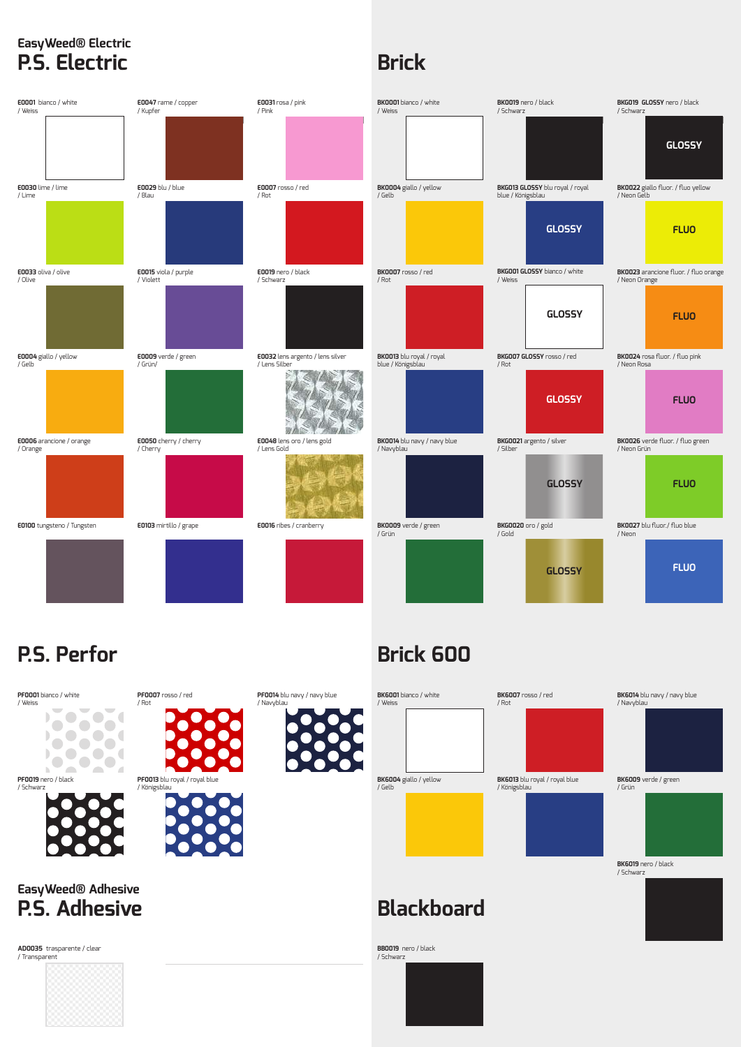#### **EasyWeed® Electric P.S. Electric**

## **Brick**



### **P.S. Perfor**

# **Brick 600**



/ Schwarz

**AD0035** trasparente / clear / Transparent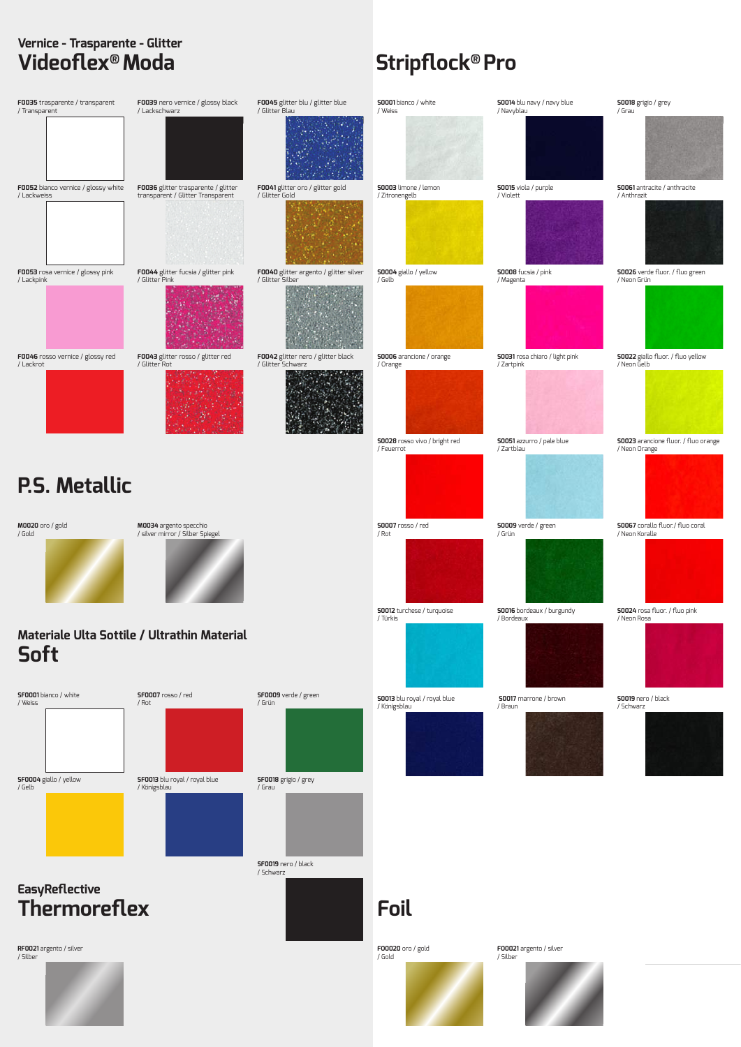#### **Vernice - Trasparente - Glitter Videoflex® Moda Stripflock® Pro**

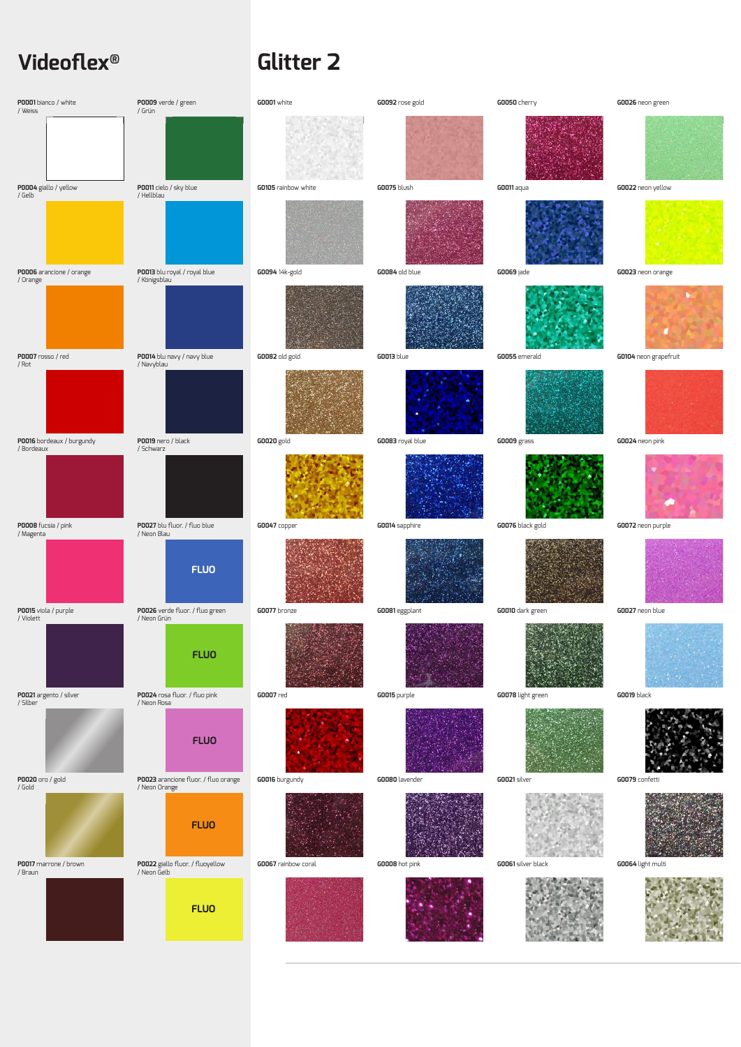### **Videoflex® Glitter 2**

| P0001 bianco / white<br>/ Weiss         | P0009 verde / green<br>/ Grün                         | GOOD1 white         | GOO92 rose gold    | GOO50 cherry       | GO026 neon green      |
|-----------------------------------------|-------------------------------------------------------|---------------------|--------------------|--------------------|-----------------------|
|                                         |                                                       |                     |                    |                    |                       |
| P0004 giallo / yellow<br>/ Gelb         | POO11 cielo / sky blue<br>/ Hellblau                  | GO105 rainbow white | <b>GO075</b> blush | GOO11 aqua         | GO022 neon yellow     |
|                                         |                                                       |                     |                    |                    |                       |
| P0006 arancione / orange<br>/ Orange    | POO13 blu royal / royal blue<br>/ Königsblau          | G0094 14k-gold      | GOO84 old blue     | <b>GOO69</b> jade  | GO023 neon orange     |
|                                         |                                                       |                     |                    |                    |                       |
| <b>P0007</b> rosso / red<br>/ Rot       | PO014 blu navy / navy blue<br>/ Navyblau              | GOO82 old gold      | <b>GOO13</b> blue  | GOO55 emerald      | GO104 neon grapefruit |
|                                         |                                                       |                     |                    |                    |                       |
| P0016 bordeaux / burgundy<br>/ Bordeaux | PO019 nero / black<br>/ Schwarz                       | <b>GO020</b> gold   | GOO83 royal blue   | <b>GOOO9</b> grass | GO024 neon pink       |
|                                         |                                                       |                     |                    |                    |                       |
| POOO8 fucsia / pink<br>/ Magenta        | POO27 blu fluor. / fluo blue<br>/ Neon Blau           | GOO47 copper        | GOO14 sapphire     | GOO76 black gold   | GO072 neon purple     |
|                                         | <b>FLUO</b>                                           |                     |                    |                    |                       |
| P0015 viola / purple<br>/ Violett       | P0026 verde fluor. / fluo green<br>/ Neon Grün        | GO077 bronze        | GOO81 eggplant     | GOO10 dark green   | GO027 neon blue       |
|                                         | <b>FLUO</b>                                           |                     |                    |                    |                       |
| P0021 argento / silver<br>/ Silber      | POO24 rosa fluor. / fluo pink<br>/ Neon Rosa          | <b>GOOO7</b> red    | GO015 purple       | G0078 light green  | GO019 black           |
|                                         | <b>FLUO</b>                                           |                     |                    |                    |                       |
| <b>P0020</b> oro / gold<br>/ Gold       | POO23 arancione fluor. / fluo orange<br>/ Neon Orange | GO016 burgundy      | GOO80 lavender     | GOO21 silver       | GO079 confetti        |
| P0017 marrone / brown                   | <b>FLUO</b>                                           | GOO67 rainbow coral | GOOD8 hot pink     | GOO61 silver black |                       |
| / Braun                                 | P0022 giallo fluor. / fluoyellow<br>/ Neon Gelb       |                     |                    |                    | GOO64 light multi     |
|                                         | <b>FLUO</b>                                           |                     |                    |                    |                       |